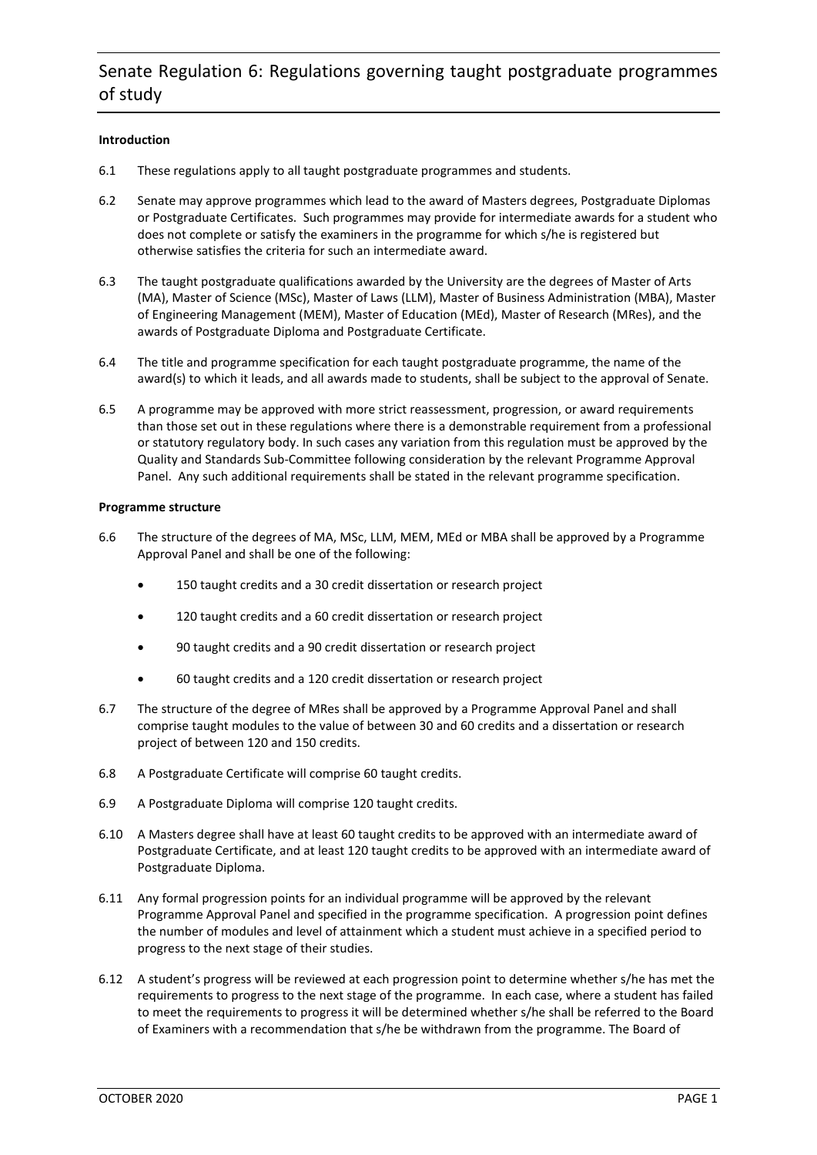# Senate Regulation 6: Regulations governing taught postgraduate programmes of study

# **Introduction**

- 6.1 These regulations apply to all taught postgraduate programmes and students.
- 6.2 Senate may approve programmes which lead to the award of Masters degrees, Postgraduate Diplomas or Postgraduate Certificates. Such programmes may provide for intermediate awards for a student who does not complete or satisfy the examiners in the programme for which s/he is registered but otherwise satisfies the criteria for such an intermediate award.
- 6.3 The taught postgraduate qualifications awarded by the University are the degrees of Master of Arts (MA), Master of Science (MSc), Master of Laws (LLM), Master of Business Administration (MBA), Master of Engineering Management (MEM), Master of Education (MEd), Master of Research (MRes), and the awards of Postgraduate Diploma and Postgraduate Certificate.
- 6.4 The title and programme specification for each taught postgraduate programme, the name of the award(s) to which it leads, and all awards made to students, shall be subject to the approval of Senate.
- 6.5 A programme may be approved with more strict reassessment, progression, or award requirements than those set out in these regulations where there is a demonstrable requirement from a professional or statutory regulatory body. In such cases any variation from this regulation must be approved by the Quality and Standards Sub-Committee following consideration by the relevant Programme Approval Panel. Any such additional requirements shall be stated in the relevant programme specification.

#### **Programme structure**

- 6.6 The structure of the degrees of MA, MSc, LLM, MEM, MEd or MBA shall be approved by a Programme Approval Panel and shall be one of the following:
	- 150 taught credits and a 30 credit dissertation or research project
	- 120 taught credits and a 60 credit dissertation or research project
	- 90 taught credits and a 90 credit dissertation or research project
	- 60 taught credits and a 120 credit dissertation or research project
- 6.7 The structure of the degree of MRes shall be approved by a Programme Approval Panel and shall comprise taught modules to the value of between 30 and 60 credits and a dissertation or research project of between 120 and 150 credits.
- 6.8 A Postgraduate Certificate will comprise 60 taught credits.
- 6.9 A Postgraduate Diploma will comprise 120 taught credits.
- 6.10 A Masters degree shall have at least 60 taught credits to be approved with an intermediate award of Postgraduate Certificate, and at least 120 taught credits to be approved with an intermediate award of Postgraduate Diploma.
- 6.11 Any formal progression points for an individual programme will be approved by the relevant Programme Approval Panel and specified in the programme specification. A progression point defines the number of modules and level of attainment which a student must achieve in a specified period to progress to the next stage of their studies.
- 6.12 A student's progress will be reviewed at each progression point to determine whether s/he has met the requirements to progress to the next stage of the programme. In each case, where a student has failed to meet the requirements to progress it will be determined whether s/he shall be referred to the Board of Examiners with a recommendation that s/he be withdrawn from the programme. The Board of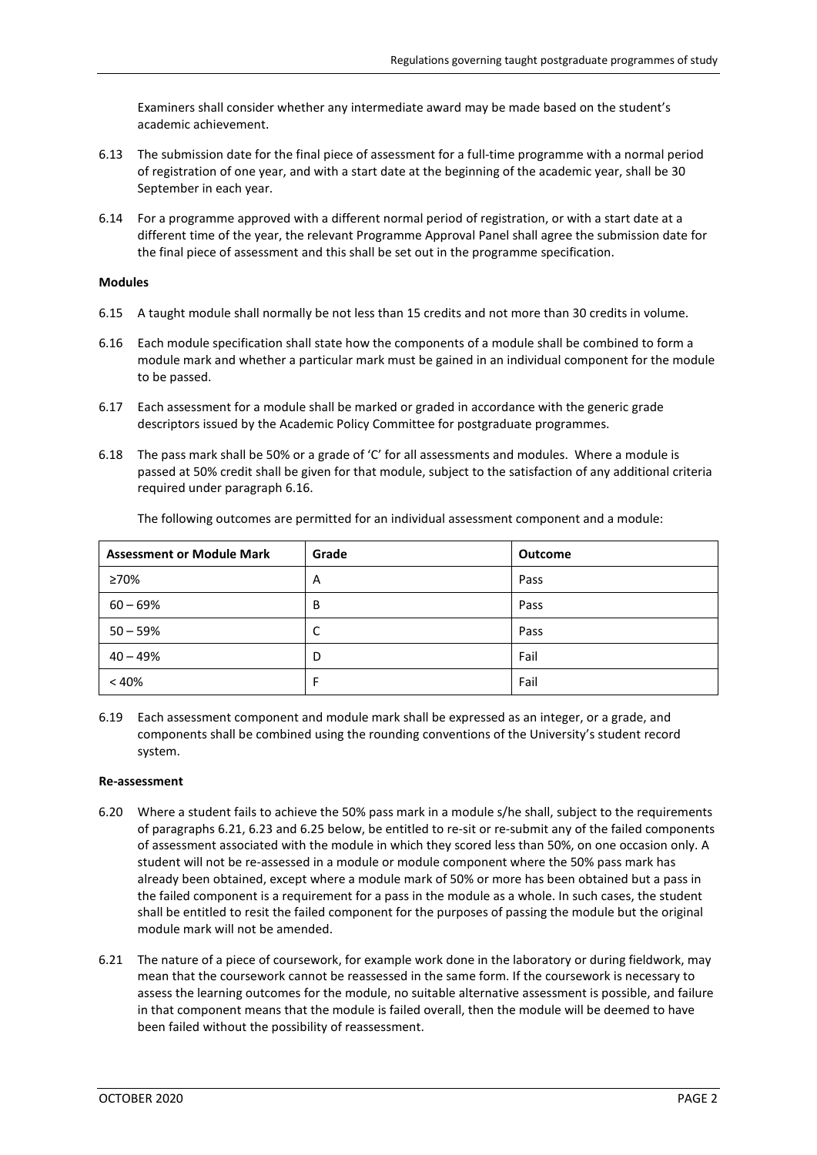Examiners shall consider whether any intermediate award may be made based on the student's academic achievement.

- 6.13 The submission date for the final piece of assessment for a full-time programme with a normal period of registration of one year, and with a start date at the beginning of the academic year, shall be 30 September in each year.
- 6.14 For a programme approved with a different normal period of registration, or with a start date at a different time of the year, the relevant Programme Approval Panel shall agree the submission date for the final piece of assessment and this shall be set out in the programme specification.

### **Modules**

- 6.15 A taught module shall normally be not less than 15 credits and not more than 30 credits in volume.
- <span id="page-1-0"></span>6.16 Each module specification shall state how the components of a module shall be combined to form a module mark and whether a particular mark must be gained in an individual component for the module to be passed.
- 6.17 Each assessment for a module shall be marked or graded in accordance with the generic grade descriptors issued by the Academic Policy Committee for postgraduate programmes.
- 6.18 The pass mark shall be 50% or a grade of 'C' for all assessments and modules. Where a module is passed at 50% credit shall be given for that module, subject to the satisfaction of any additional criteria required under paragraph [6.16.](#page-1-0)

| <b>Assessment or Module Mark</b> | Grade | <b>Outcome</b> |
|----------------------------------|-------|----------------|
| ≥70%                             | A     | Pass           |
| $60 - 69%$                       | B     | Pass           |
| $50 - 59%$                       | C     | Pass           |
| $40 - 49%$                       | D     | Fail           |
| < 40%                            | F     | Fail           |

The following outcomes are permitted for an individual assessment component and a module:

6.19 Each assessment component and module mark shall be expressed as an integer, or a grade, and components shall be combined using the rounding conventions of the University's student record system.

#### **Re-assessment**

- 6.20 Where a student fails to achieve the 50% pass mark in a module s/he shall, subject to the requirements of paragraphs [6.21,](#page-1-1) 6.23 and [6.25 below,](#page-2-0) be entitled to re-sit or re-submit any of the failed components of assessment associated with the module in which they scored less than 50%, on one occasion only. A student will not be re-assessed in a module or module component where the 50% pass mark has already been obtained, except where a module mark of 50% or more has been obtained but a pass in the failed component is a requirement for a pass in the module as a whole. In such cases, the student shall be entitled to resit the failed component for the purposes of passing the module but the original module mark will not be amended.
- <span id="page-1-1"></span>6.21 The nature of a piece of coursework, for example work done in the laboratory or during fieldwork, may mean that the coursework cannot be reassessed in the same form. If the coursework is necessary to assess the learning outcomes for the module, no suitable alternative assessment is possible, and failure in that component means that the module is failed overall, then the module will be deemed to have been failed without the possibility of reassessment.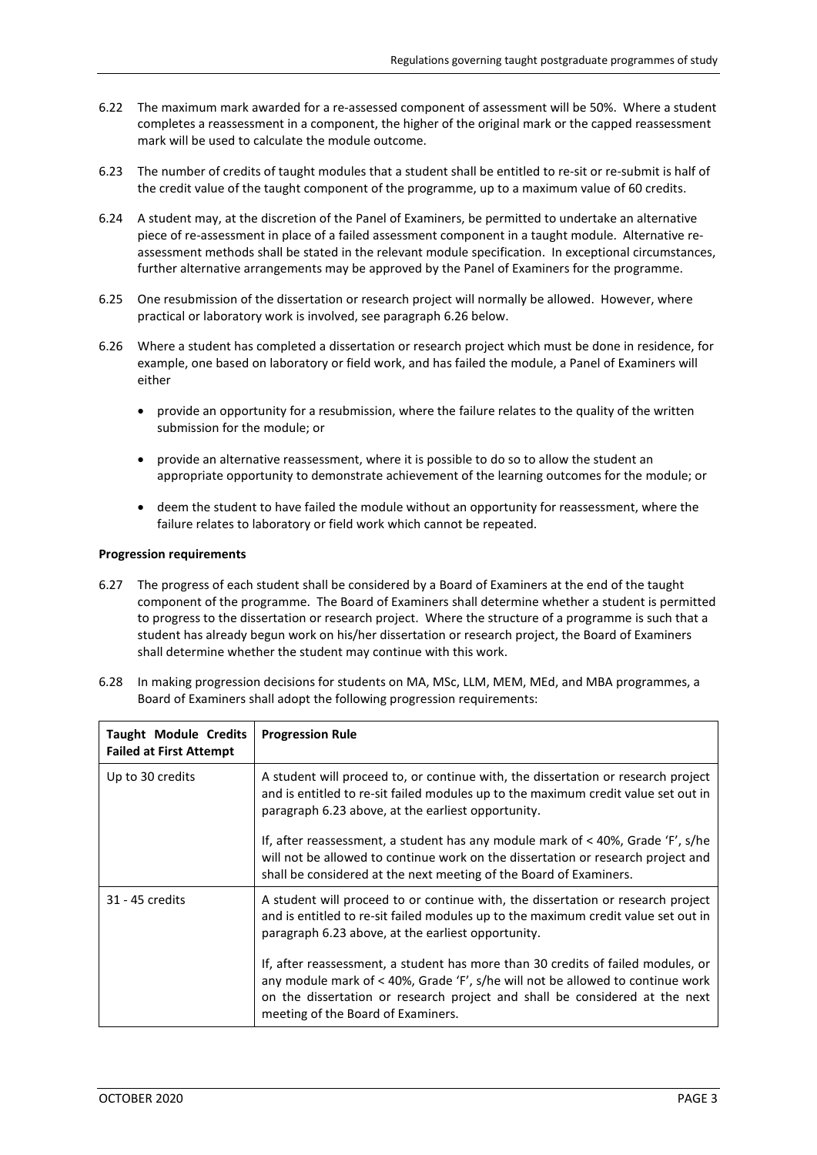- 6.22 The maximum mark awarded for a re-assessed component of assessment will be 50%. Where a student completes a reassessment in a component, the higher of the original mark or the capped reassessment mark will be used to calculate the module outcome.
- 6.23 The number of credits of taught modules that a student shall be entitled to re-sit or re-submit is half of the credit value of the taught component of the programme, up to a maximum value of 60 credits.
- 6.24 A student may, at the discretion of the Panel of Examiners, be permitted to undertake an alternative piece of re-assessment in place of a failed assessment component in a taught module. Alternative reassessment methods shall be stated in the relevant module specification. In exceptional circumstances, further alternative arrangements may be approved by the Panel of Examiners for the programme.
- <span id="page-2-0"></span>6.25 One resubmission of the dissertation or research project will normally be allowed. However, where practical or laboratory work is involved, see paragrap[h 6.26 below.](#page-2-1)
- <span id="page-2-1"></span>6.26 Where a student has completed a dissertation or research project which must be done in residence, for example, one based on laboratory or field work, and has failed the module, a Panel of Examiners will either
	- provide an opportunity for a resubmission, where the failure relates to the quality of the written submission for the module; or
	- provide an alternative reassessment, where it is possible to do so to allow the student an appropriate opportunity to demonstrate achievement of the learning outcomes for the module; or
	- deem the student to have failed the module without an opportunity for reassessment, where the failure relates to laboratory or field work which cannot be repeated.

#### **Progression requirements**

6.27 The progress of each student shall be considered by a Board of Examiners at the end of the taught component of the programme. The Board of Examiners shall determine whether a student is permitted to progress to the dissertation or research project. Where the structure of a programme is such that a student has already begun work on his/her dissertation or research project, the Board of Examiners shall determine whether the student may continue with this work.

| <b>Taught Module Credits</b><br><b>Failed at First Attempt</b> | <b>Progression Rule</b>                                                                                                                                                                                                                                                                 |
|----------------------------------------------------------------|-----------------------------------------------------------------------------------------------------------------------------------------------------------------------------------------------------------------------------------------------------------------------------------------|
| Up to 30 credits                                               | A student will proceed to, or continue with, the dissertation or research project<br>and is entitled to re-sit failed modules up to the maximum credit value set out in<br>paragraph 6.23 above, at the earliest opportunity.                                                           |
|                                                                | If, after reassessment, a student has any module mark of $<$ 40%, Grade 'F', s/he<br>will not be allowed to continue work on the dissertation or research project and<br>shall be considered at the next meeting of the Board of Examiners.                                             |
| 31 - 45 credits                                                | A student will proceed to or continue with, the dissertation or research project<br>and is entitled to re-sit failed modules up to the maximum credit value set out in<br>paragraph 6.23 above, at the earliest opportunity.                                                            |
|                                                                | If, after reassessment, a student has more than 30 credits of failed modules, or<br>any module mark of < 40%, Grade 'F', s/he will not be allowed to continue work<br>on the dissertation or research project and shall be considered at the next<br>meeting of the Board of Examiners. |

6.28 In making progression decisions for students on MA, MSc, LLM, MEM, MEd, and MBA programmes, a Board of Examiners shall adopt the following progression requirements: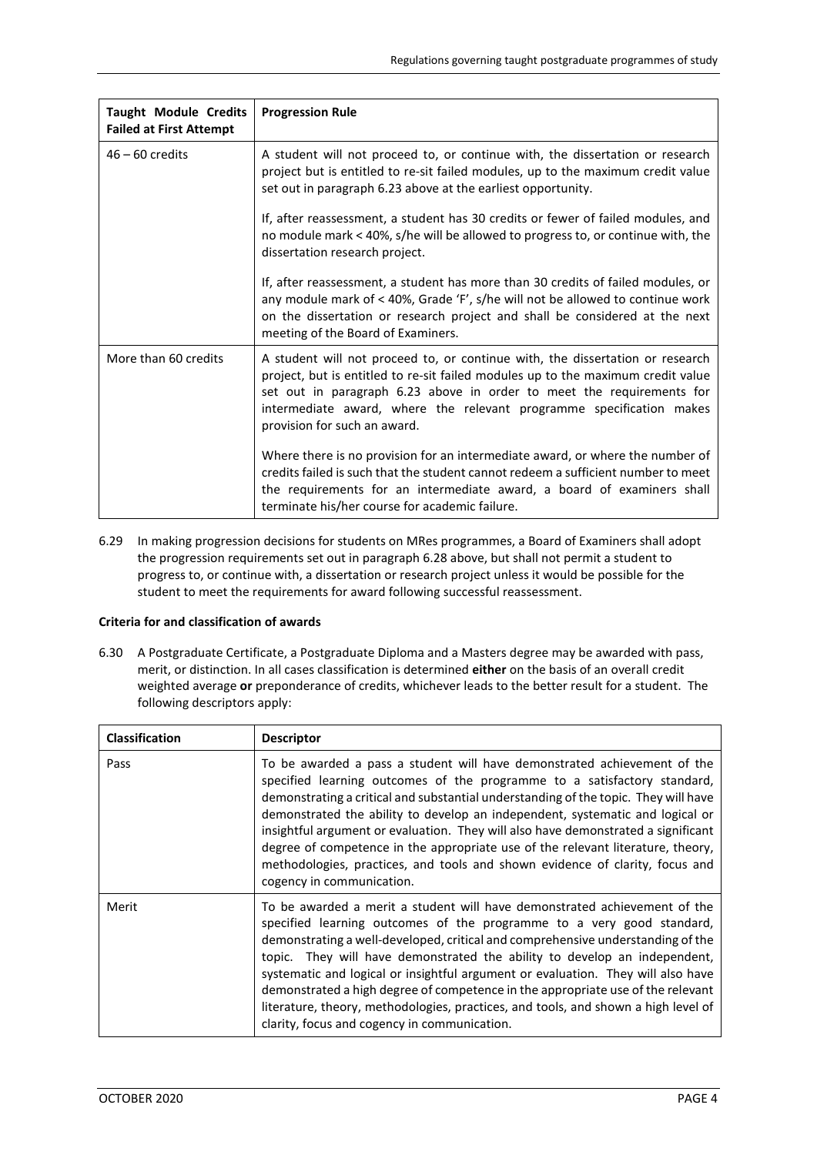| <b>Taught Module Credits</b><br><b>Failed at First Attempt</b> | <b>Progression Rule</b>                                                                                                                                                                                                                                                                                                                            |
|----------------------------------------------------------------|----------------------------------------------------------------------------------------------------------------------------------------------------------------------------------------------------------------------------------------------------------------------------------------------------------------------------------------------------|
| $46 - 60$ credits                                              | A student will not proceed to, or continue with, the dissertation or research<br>project but is entitled to re-sit failed modules, up to the maximum credit value<br>set out in paragraph 6.23 above at the earliest opportunity.                                                                                                                  |
|                                                                | If, after reassessment, a student has 30 credits or fewer of failed modules, and<br>no module mark < 40%, s/he will be allowed to progress to, or continue with, the<br>dissertation research project.                                                                                                                                             |
|                                                                | If, after reassessment, a student has more than 30 credits of failed modules, or<br>any module mark of < 40%, Grade 'F', s/he will not be allowed to continue work<br>on the dissertation or research project and shall be considered at the next<br>meeting of the Board of Examiners.                                                            |
| More than 60 credits                                           | A student will not proceed to, or continue with, the dissertation or research<br>project, but is entitled to re-sit failed modules up to the maximum credit value<br>set out in paragraph 6.23 above in order to meet the requirements for<br>intermediate award, where the relevant programme specification makes<br>provision for such an award. |
|                                                                | Where there is no provision for an intermediate award, or where the number of<br>credits failed is such that the student cannot redeem a sufficient number to meet<br>the requirements for an intermediate award, a board of examiners shall<br>terminate his/her course for academic failure.                                                     |

6.29 In making progression decisions for students on MRes programmes, a Board of Examiners shall adopt the progression requirements set out in paragraph 6.28 above, but shall not permit a student to progress to, or continue with, a dissertation or research project unless it would be possible for the student to meet the requirements for award following successful reassessment.

# **Criteria for and classification of awards**

6.30 A Postgraduate Certificate, a Postgraduate Diploma and a Masters degree may be awarded with pass, merit, or distinction. In all cases classification is determined **either** on the basis of an overall credit weighted average **or** preponderance of credits, whichever leads to the better result for a student. The following descriptors apply:

| <b>Classification</b> | <b>Descriptor</b>                                                                                                                                                                                                                                                                                                                                                                                                                                                                                                                                                                                                               |
|-----------------------|---------------------------------------------------------------------------------------------------------------------------------------------------------------------------------------------------------------------------------------------------------------------------------------------------------------------------------------------------------------------------------------------------------------------------------------------------------------------------------------------------------------------------------------------------------------------------------------------------------------------------------|
| Pass                  | To be awarded a pass a student will have demonstrated achievement of the<br>specified learning outcomes of the programme to a satisfactory standard,<br>demonstrating a critical and substantial understanding of the topic. They will have<br>demonstrated the ability to develop an independent, systematic and logical or<br>insightful argument or evaluation. They will also have demonstrated a significant<br>degree of competence in the appropriate use of the relevant literature, theory,<br>methodologies, practices, and tools and shown evidence of clarity, focus and<br>cogency in communication.               |
| Merit                 | To be awarded a merit a student will have demonstrated achievement of the<br>specified learning outcomes of the programme to a very good standard,<br>demonstrating a well-developed, critical and comprehensive understanding of the<br>topic. They will have demonstrated the ability to develop an independent,<br>systematic and logical or insightful argument or evaluation. They will also have<br>demonstrated a high degree of competence in the appropriate use of the relevant<br>literature, theory, methodologies, practices, and tools, and shown a high level of<br>clarity, focus and cogency in communication. |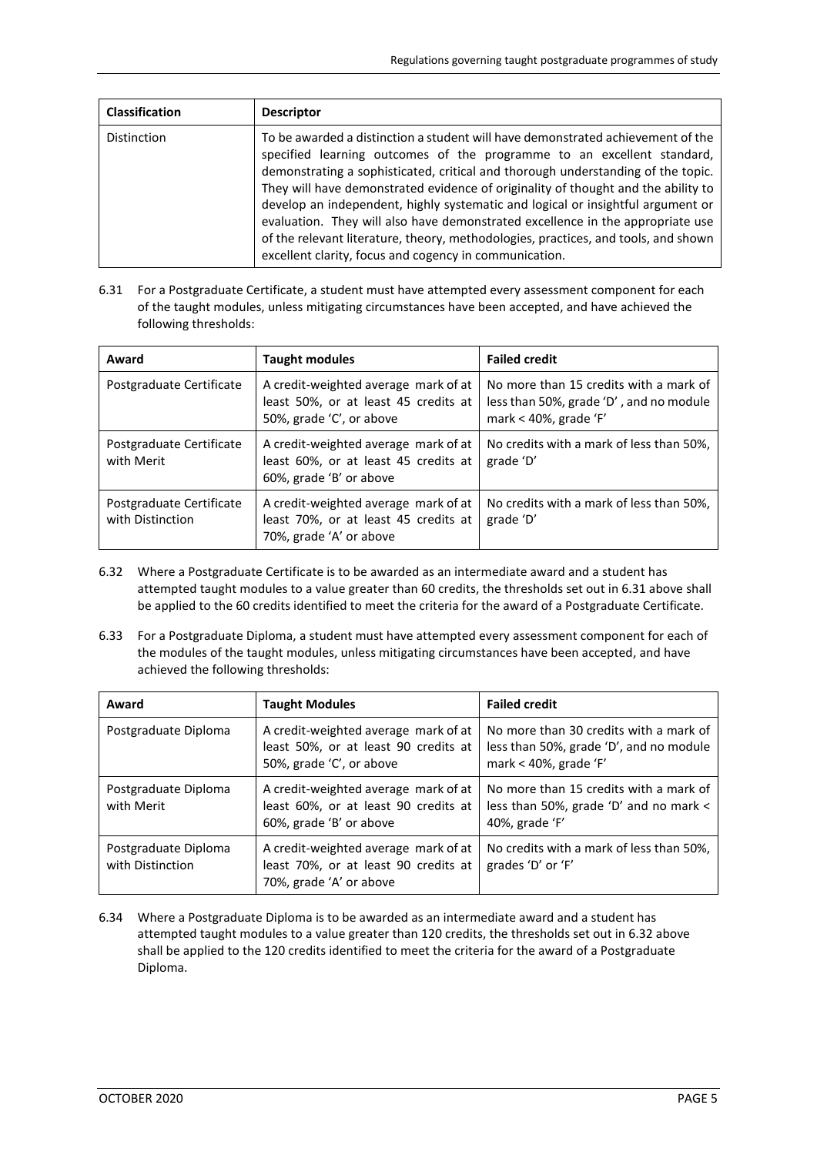| <b>Classification</b> | <b>Descriptor</b>                                                                                                                                                                                                                                                                                                                                                                                                                                                                                                                                                                                                                                       |
|-----------------------|---------------------------------------------------------------------------------------------------------------------------------------------------------------------------------------------------------------------------------------------------------------------------------------------------------------------------------------------------------------------------------------------------------------------------------------------------------------------------------------------------------------------------------------------------------------------------------------------------------------------------------------------------------|
| <b>Distinction</b>    | To be awarded a distinction a student will have demonstrated achievement of the<br>specified learning outcomes of the programme to an excellent standard,<br>demonstrating a sophisticated, critical and thorough understanding of the topic.<br>They will have demonstrated evidence of originality of thought and the ability to<br>develop an independent, highly systematic and logical or insightful argument or<br>evaluation. They will also have demonstrated excellence in the appropriate use<br>of the relevant literature, theory, methodologies, practices, and tools, and shown<br>excellent clarity, focus and cogency in communication. |

<span id="page-4-0"></span>6.31 For a Postgraduate Certificate, a student must have attempted every assessment component for each of the taught modules, unless mitigating circumstances have been accepted, and have achieved the following thresholds:

| Award                                        | <b>Taught modules</b>                                                                                    | <b>Failed credit</b>                                                                                       |  |
|----------------------------------------------|----------------------------------------------------------------------------------------------------------|------------------------------------------------------------------------------------------------------------|--|
| Postgraduate Certificate                     | A credit-weighted average mark of at<br>least 50%, or at least 45 credits at<br>50%, grade 'C', or above | No more than 15 credits with a mark of<br>less than 50%, grade 'D', and no module<br>mark < 40%, grade 'F' |  |
| Postgraduate Certificate<br>with Merit       | A credit-weighted average mark of at<br>least 60%, or at least 45 credits at<br>60%, grade 'B' or above  | No credits with a mark of less than 50%.<br>grade 'D'                                                      |  |
| Postgraduate Certificate<br>with Distinction | A credit-weighted average mark of at<br>least 70%, or at least 45 credits at<br>70%, grade 'A' or above  | No credits with a mark of less than 50%,<br>grade 'D'                                                      |  |

- 6.32 Where a Postgraduate Certificate is to be awarded as an intermediate award and a student has attempted taught modules to a value greater than 60 credits, the thresholds set out in [6.31 above](#page-4-0) shall be applied to the 60 credits identified to meet the criteria for the award of a Postgraduate Certificate.
- <span id="page-4-1"></span>6.33 For a Postgraduate Diploma, a student must have attempted every assessment component for each of the modules of the taught modules, unless mitigating circumstances have been accepted, and have achieved the following thresholds:

| Award                                    | <b>Taught Modules</b>                                                                                    | <b>Failed credit</b>                                                                                       |
|------------------------------------------|----------------------------------------------------------------------------------------------------------|------------------------------------------------------------------------------------------------------------|
| Postgraduate Diploma                     | A credit-weighted average mark of at<br>least 50%, or at least 90 credits at<br>50%, grade 'C', or above | No more than 30 credits with a mark of<br>less than 50%, grade 'D', and no module<br>mark < 40%, grade 'F' |
| Postgraduate Diploma<br>with Merit       | A credit-weighted average mark of at<br>least 60%, or at least 90 credits at<br>60%, grade 'B' or above  | No more than 15 credits with a mark of<br>less than 50%, grade 'D' and no mark <<br>40%, grade 'F'         |
| Postgraduate Diploma<br>with Distinction | A credit-weighted average mark of at<br>least 70%, or at least 90 credits at<br>70%, grade 'A' or above  | No credits with a mark of less than 50%.<br>grades 'D' or 'F'                                              |

6.34 Where a Postgraduate Diploma is to be awarded as an intermediate award and a student has attempted taught modules to a value greater than 120 credits, the thresholds set out in [6.32 above](#page-4-1) shall be applied to the 120 credits identified to meet the criteria for the award of a Postgraduate Diploma.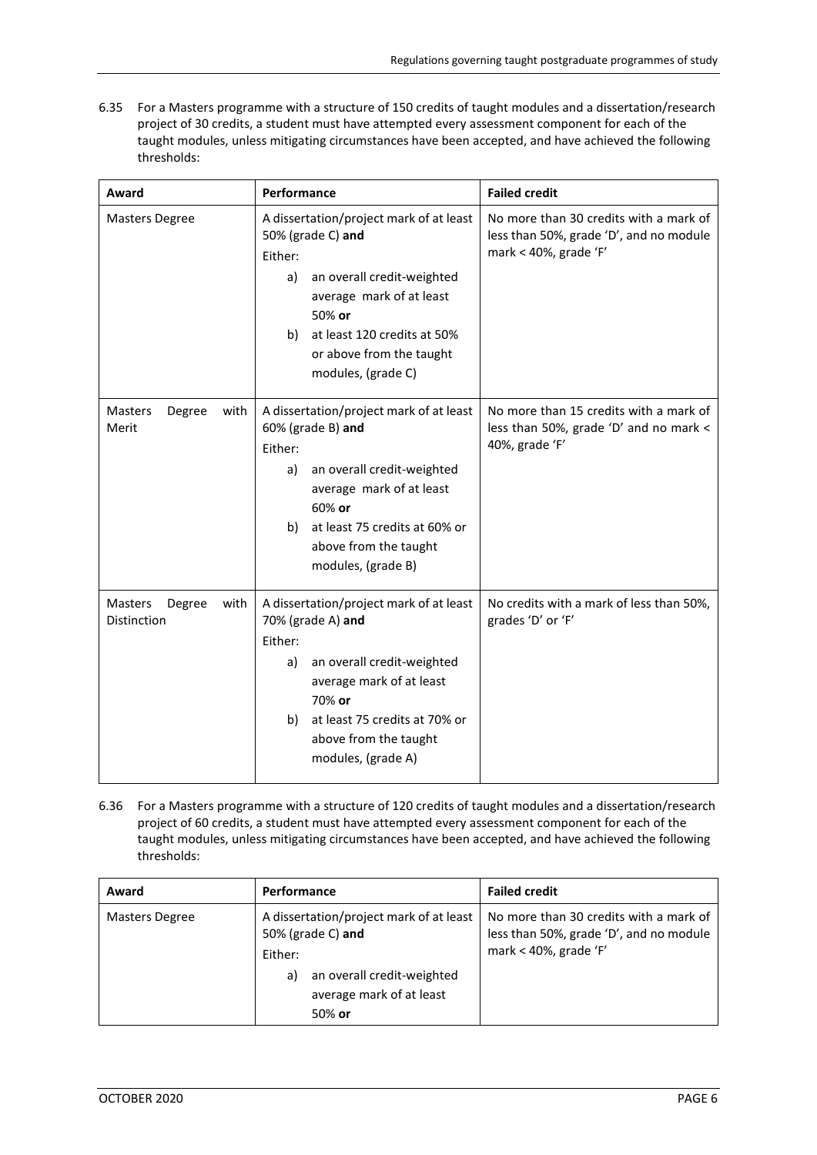6.35 For a Masters programme with a structure of 150 credits of taught modules and a dissertation/research project of 30 credits, a student must have attempted every assessment component for each of the taught modules, unless mitigating circumstances have been accepted, and have achieved the following thresholds:

| Award                                           | Performance                                                                                                                                                                                                                              | <b>Failed credit</b>                                                                                       |
|-------------------------------------------------|------------------------------------------------------------------------------------------------------------------------------------------------------------------------------------------------------------------------------------------|------------------------------------------------------------------------------------------------------------|
| <b>Masters Degree</b>                           | A dissertation/project mark of at least<br>50% (grade C) and<br>Either:<br>an overall credit-weighted<br>a)<br>average mark of at least<br>50% or<br>at least 120 credits at 50%<br>b)<br>or above from the taught<br>modules, (grade C) | No more than 30 credits with a mark of<br>less than 50%, grade 'D', and no module<br>mark < 40%, grade 'F' |
| <b>Masters</b><br>Degree<br>with<br>Merit       | A dissertation/project mark of at least<br>60% (grade B) and<br>Either:<br>an overall credit-weighted<br>a)<br>average mark of at least<br>60% or<br>at least 75 credits at 60% or<br>b)<br>above from the taught<br>modules, (grade B)  | No more than 15 credits with a mark of<br>less than 50%, grade 'D' and no mark <<br>40%, grade 'F'         |
| Masters<br>with<br>Degree<br><b>Distinction</b> | A dissertation/project mark of at least<br>70% (grade A) and<br>Either:<br>an overall credit-weighted<br>a)<br>average mark of at least<br>70% or<br>at least 75 credits at 70% or<br>b)<br>above from the taught<br>modules, (grade A)  | No credits with a mark of less than 50%,<br>grades 'D' or 'F'                                              |

6.36 For a Masters programme with a structure of 120 credits of taught modules and a dissertation/research project of 60 credits, a student must have attempted every assessment component for each of the taught modules, unless mitigating circumstances have been accepted, and have achieved the following thresholds:

| Award                 | Performance                                                                                                                                          | <b>Failed credit</b>                                                                                       |
|-----------------------|------------------------------------------------------------------------------------------------------------------------------------------------------|------------------------------------------------------------------------------------------------------------|
| <b>Masters Degree</b> | A dissertation/project mark of at least<br>50% (grade C) and<br>Either:<br>an overall credit-weighted<br>a)<br>average mark of at least<br>$50\%$ or | No more than 30 credits with a mark of<br>less than 50%, grade 'D', and no module<br>mark < 40%, grade 'F' |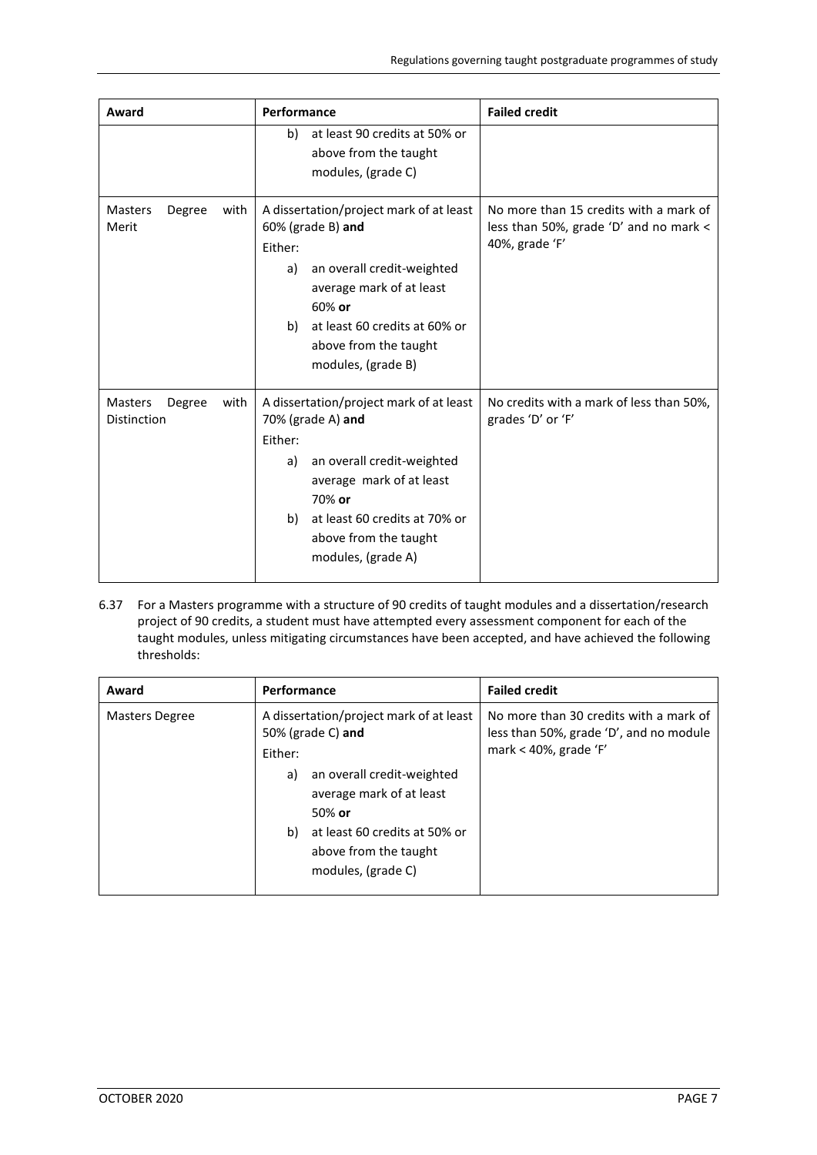| Award                                           | Performance                                                                                                                                                                                                                               | <b>Failed credit</b>                                                                               |
|-------------------------------------------------|-------------------------------------------------------------------------------------------------------------------------------------------------------------------------------------------------------------------------------------------|----------------------------------------------------------------------------------------------------|
|                                                 | at least 90 credits at 50% or<br>b)<br>above from the taught<br>modules, (grade C)                                                                                                                                                        |                                                                                                    |
| Degree<br><b>Masters</b><br>with<br>Merit       | A dissertation/project mark of at least<br>$60%$ (grade B) and<br>Either:<br>an overall credit-weighted<br>a)<br>average mark of at least<br>60% or<br>at least 60 credits at 60% or<br>b)<br>above from the taught<br>modules, (grade B) | No more than 15 credits with a mark of<br>less than 50%, grade 'D' and no mark <<br>40%, grade 'F' |
| Degree<br>with<br><b>Masters</b><br>Distinction | A dissertation/project mark of at least<br>70% (grade A) and<br>Either:<br>an overall credit-weighted<br>a)<br>average mark of at least<br>70% or<br>at least 60 credits at 70% or<br>b)<br>above from the taught<br>modules, (grade A)   | No credits with a mark of less than 50%,<br>grades 'D' or 'F'                                      |

6.37 For a Masters programme with a structure of 90 credits of taught modules and a dissertation/research project of 90 credits, a student must have attempted every assessment component for each of the taught modules, unless mitigating circumstances have been accepted, and have achieved the following thresholds:

| Award          | Performance                                                                                                                                                                                                                             | <b>Failed credit</b>                                                                                       |
|----------------|-----------------------------------------------------------------------------------------------------------------------------------------------------------------------------------------------------------------------------------------|------------------------------------------------------------------------------------------------------------|
| Masters Degree | A dissertation/project mark of at least<br>50% (grade C) and<br>Either:<br>an overall credit-weighted<br>a)<br>average mark of at least<br>$50\%$ or<br>b) at least 60 credits at 50% or<br>above from the taught<br>modules, (grade C) | No more than 30 credits with a mark of<br>less than 50%, grade 'D', and no module<br>mark < 40%, grade 'F' |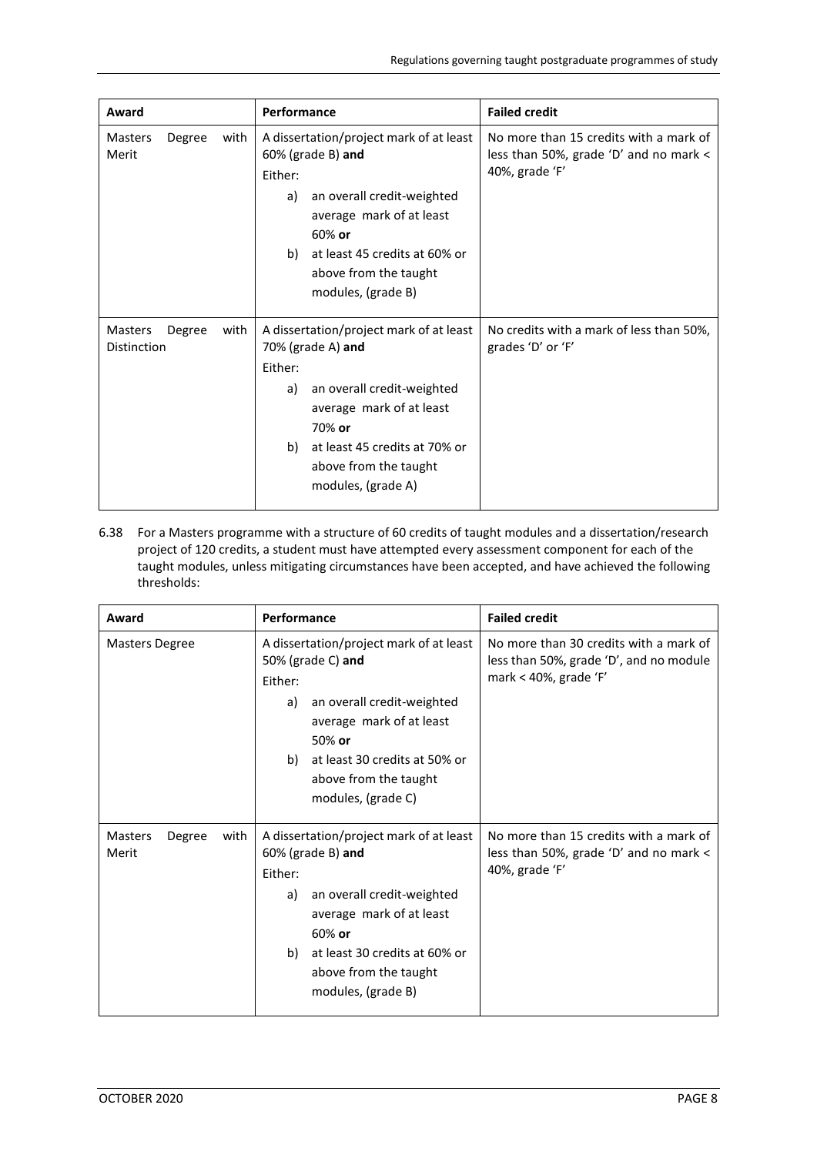| Award                         |        |      | Performance                                                                                                                                                                                                                                | <b>Failed credit</b>                                                                               |
|-------------------------------|--------|------|--------------------------------------------------------------------------------------------------------------------------------------------------------------------------------------------------------------------------------------------|----------------------------------------------------------------------------------------------------|
| <b>Masters</b><br>Merit       | Degree | with | A dissertation/project mark of at least<br>$60\%$ (grade B) and<br>Either:<br>an overall credit-weighted<br>a)<br>average mark of at least<br>$60\%$ or<br>b) at least 45 credits at 60% or<br>above from the taught<br>modules, (grade B) | No more than 15 credits with a mark of<br>less than 50%, grade 'D' and no mark <<br>40%, grade 'F' |
| Masters<br><b>Distinction</b> | Degree | with | A dissertation/project mark of at least<br>70% (grade A) and<br>Either:<br>an overall credit-weighted<br>a)<br>average mark of at least<br>70% or<br>b) at least 45 credits at 70% or<br>above from the taught<br>modules, (grade A)       | No credits with a mark of less than 50%,<br>grades 'D' or 'F'                                      |

6.38 For a Masters programme with a structure of 60 credits of taught modules and a dissertation/research project of 120 credits, a student must have attempted every assessment component for each of the taught modules, unless mitigating circumstances have been accepted, and have achieved the following thresholds:

| Award                                     | Performance                                                                                                                                                                                                                               | <b>Failed credit</b>                                                                                       |  |
|-------------------------------------------|-------------------------------------------------------------------------------------------------------------------------------------------------------------------------------------------------------------------------------------------|------------------------------------------------------------------------------------------------------------|--|
| <b>Masters Degree</b>                     | A dissertation/project mark of at least<br>50% (grade C) and<br>Either:<br>an overall credit-weighted<br>a)<br>average mark of at least<br>50% or<br>at least 30 credits at 50% or<br>b)<br>above from the taught<br>modules, (grade C)   | No more than 30 credits with a mark of<br>less than 50%, grade 'D', and no module<br>mark < 40%, grade 'F' |  |
| Degree<br>with<br><b>Masters</b><br>Merit | A dissertation/project mark of at least<br>$60%$ (grade B) and<br>Either:<br>an overall credit-weighted<br>a)<br>average mark of at least<br>60% or<br>at least 30 credits at 60% or<br>b)<br>above from the taught<br>modules, (grade B) | No more than 15 credits with a mark of<br>less than 50%, grade 'D' and no mark $\lt$<br>40%, grade 'F'     |  |